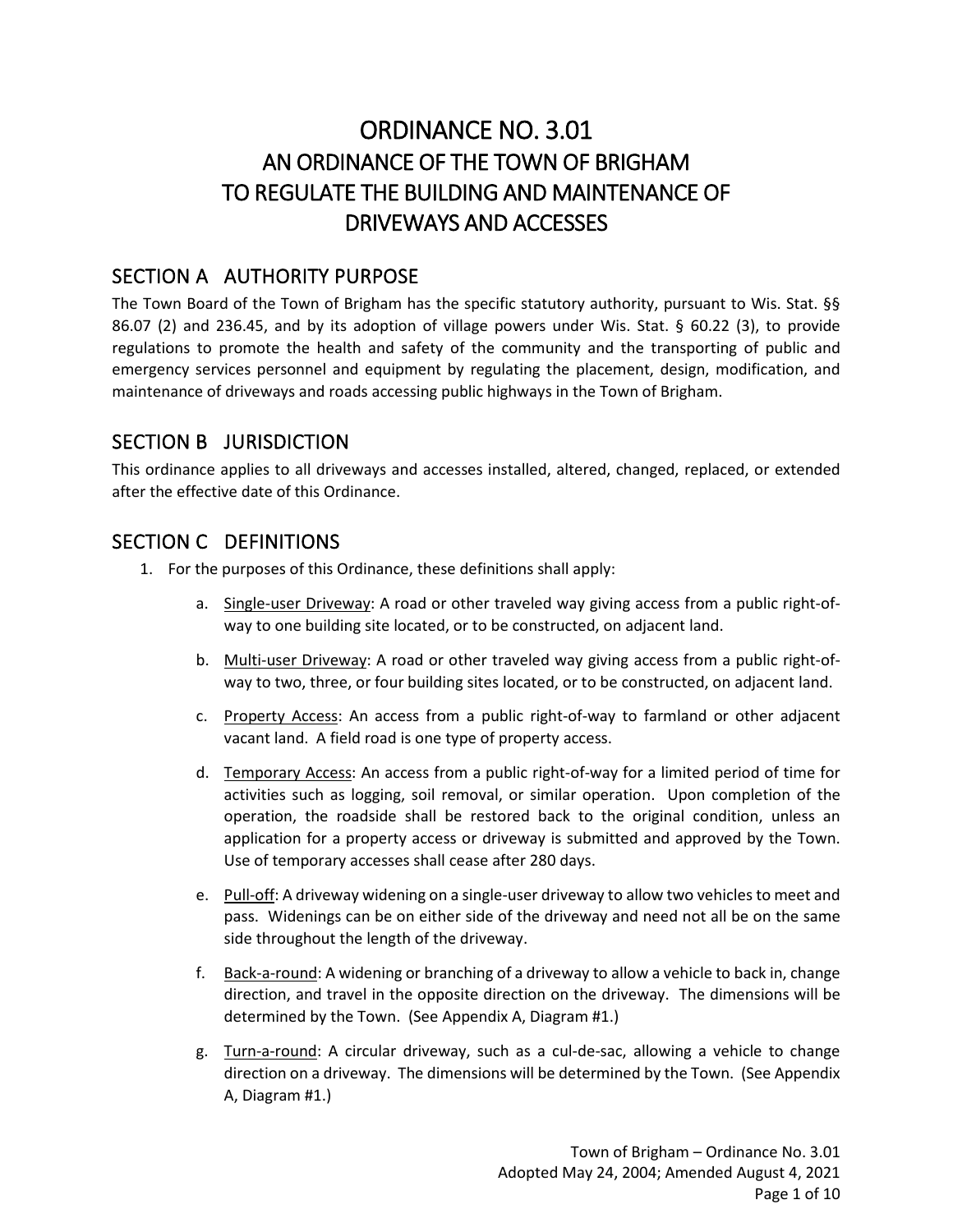# ORDINANCE NO. 3.01 AN ORDINANCE OF THE TOWN OF BRIGHAM TO REGULATE THE BUILDING AND MAINTENANCE OF DRIVEWAYS AND ACCESSES

#### SECTION A AUTHORITY PURPOSE

The Town Board of the Town of Brigham has the specific statutory authority, pursuant to Wis. Stat. §§ 86.07 (2) and 236.45, and by its adoption of village powers under Wis. Stat. § 60.22 (3), to provide regulations to promote the health and safety of the community and the transporting of public and emergency services personnel and equipment by regulating the placement, design, modification, and maintenance of driveways and roads accessing public highways in the Town of Brigham.

#### SECTION B JURISDICTION

This ordinance applies to all driveways and accesses installed, altered, changed, replaced, or extended after the effective date of this Ordinance.

## SECTION C DEFINITIONS

- 1. For the purposes of this Ordinance, these definitions shall apply:
	- a. Single-user Driveway: A road or other traveled way giving access from a public right-ofway to one building site located, or to be constructed, on adjacent land.
	- b. Multi-user Driveway: A road or other traveled way giving access from a public right-ofway to two, three, or four building sites located, or to be constructed, on adjacent land.
	- c. Property Access: An access from a public right-of-way to farmland or other adjacent vacant land. A field road is one type of property access.
	- d. Temporary Access: An access from a public right-of-way for a limited period of time for activities such as logging, soil removal, or similar operation. Upon completion of the operation, the roadside shall be restored back to the original condition, unless an application for a property access or driveway is submitted and approved by the Town. Use of temporary accesses shall cease after 280 days.
	- e. Pull-off: A driveway widening on a single-user driveway to allow two vehicles to meet and pass. Widenings can be on either side of the driveway and need not all be on the same side throughout the length of the driveway.
	- f. Back-a-round: A widening or branching of a driveway to allow a vehicle to back in, change direction, and travel in the opposite direction on the driveway. The dimensions will be determined by the Town. (See Appendix A, Diagram #1.)
	- g. Turn-a-round: A circular driveway, such as a cul-de-sac, allowing a vehicle to change direction on a driveway. The dimensions will be determined by the Town. (See Appendix A, Diagram #1.)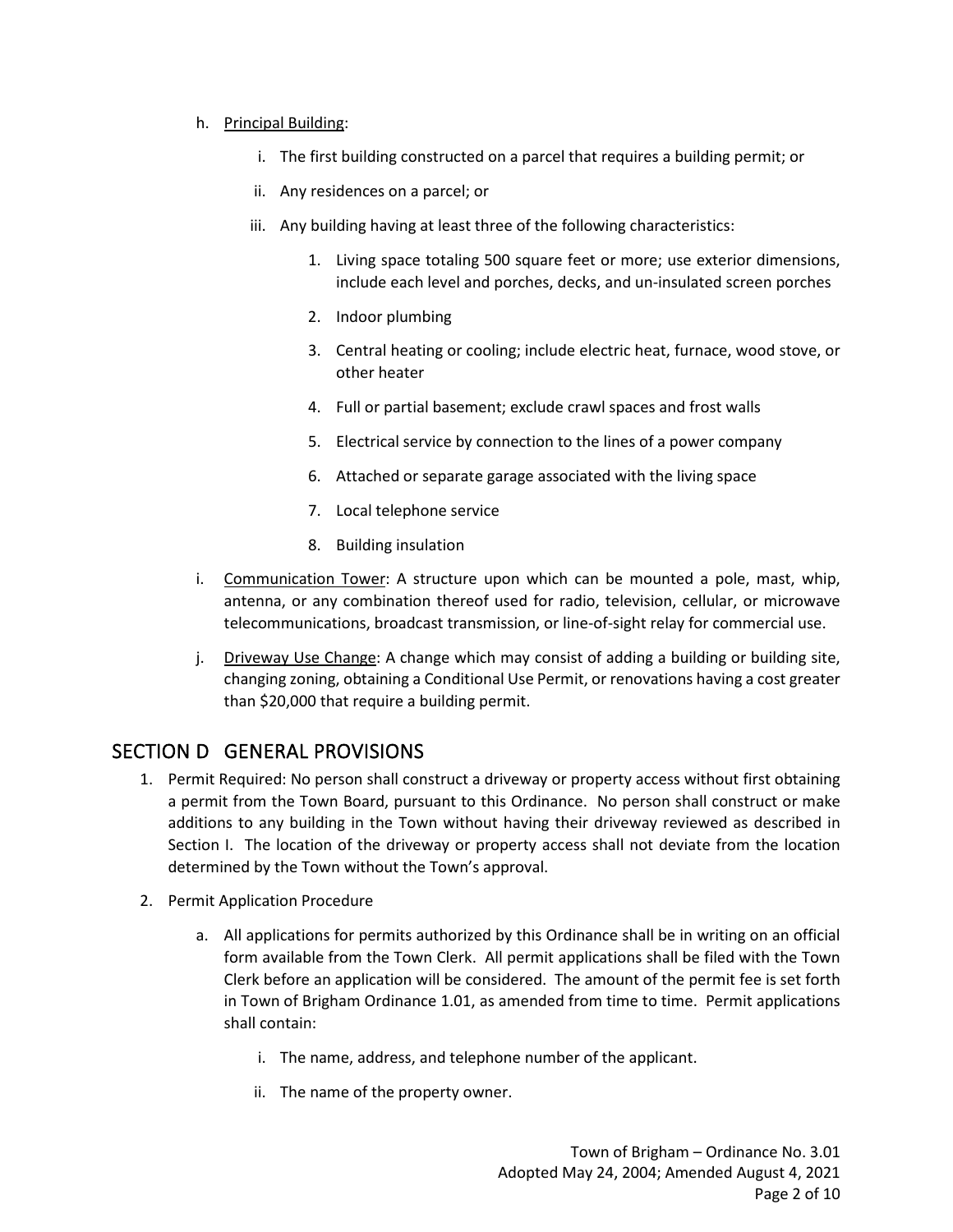#### h. Principal Building:

- i. The first building constructed on a parcel that requires a building permit; or
- ii. Any residences on a parcel; or
- iii. Any building having at least three of the following characteristics:
	- 1. Living space totaling 500 square feet or more; use exterior dimensions, include each level and porches, decks, and un-insulated screen porches
	- 2. Indoor plumbing
	- 3. Central heating or cooling; include electric heat, furnace, wood stove, or other heater
	- 4. Full or partial basement; exclude crawl spaces and frost walls
	- 5. Electrical service by connection to the lines of a power company
	- 6. Attached or separate garage associated with the living space
	- 7. Local telephone service
	- 8. Building insulation
- i. Communication Tower: A structure upon which can be mounted a pole, mast, whip, antenna, or any combination thereof used for radio, television, cellular, or microwave telecommunications, broadcast transmission, or line-of-sight relay for commercial use.
- j. Driveway Use Change: A change which may consist of adding a building or building site, changing zoning, obtaining a Conditional Use Permit, or renovations having a cost greater than \$20,000 that require a building permit.

#### SECTION D GENERAL PROVISIONS

- 1. Permit Required: No person shall construct a driveway or property access without first obtaining a permit from the Town Board, pursuant to this Ordinance. No person shall construct or make additions to any building in the Town without having their driveway reviewed as described in Section I. The location of the driveway or property access shall not deviate from the location determined by the Town without the Town's approval.
- 2. Permit Application Procedure
	- a. All applications for permits authorized by this Ordinance shall be in writing on an official form available from the Town Clerk. All permit applications shall be filed with the Town Clerk before an application will be considered. The amount of the permit fee is set forth in Town of Brigham Ordinance 1.01, as amended from time to time. Permit applications shall contain:
		- i. The name, address, and telephone number of the applicant.
		- ii. The name of the property owner.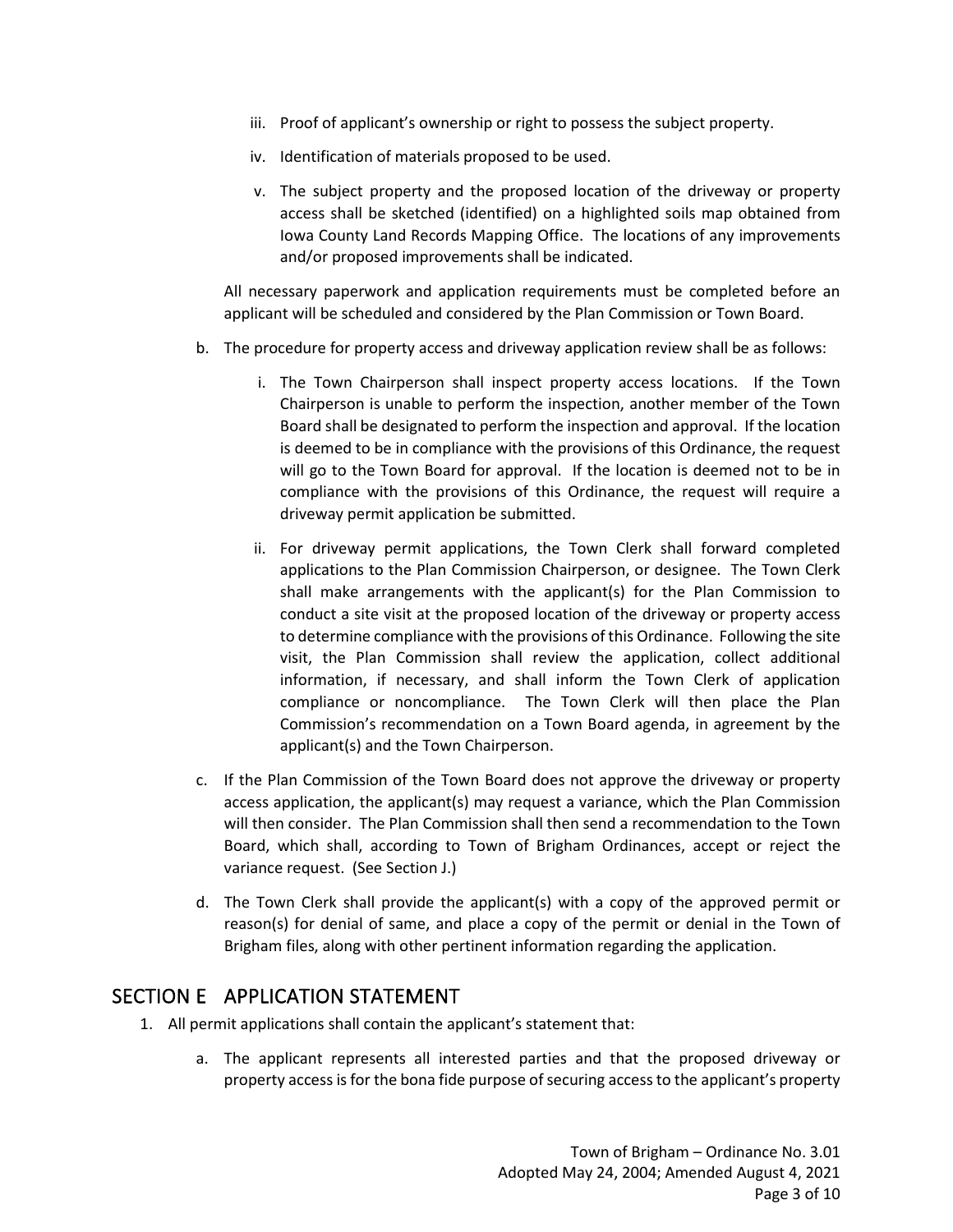- iii. Proof of applicant's ownership or right to possess the subject property.
- iv. Identification of materials proposed to be used.
- v. The subject property and the proposed location of the driveway or property access shall be sketched (identified) on a highlighted soils map obtained from Iowa County Land Records Mapping Office. The locations of any improvements and/or proposed improvements shall be indicated.

All necessary paperwork and application requirements must be completed before an applicant will be scheduled and considered by the Plan Commission or Town Board.

- b. The procedure for property access and driveway application review shall be as follows:
	- i. The Town Chairperson shall inspect property access locations. If the Town Chairperson is unable to perform the inspection, another member of the Town Board shall be designated to perform the inspection and approval. If the location is deemed to be in compliance with the provisions of this Ordinance, the request will go to the Town Board for approval. If the location is deemed not to be in compliance with the provisions of this Ordinance, the request will require a driveway permit application be submitted.
	- ii. For driveway permit applications, the Town Clerk shall forward completed applications to the Plan Commission Chairperson, or designee. The Town Clerk shall make arrangements with the applicant(s) for the Plan Commission to conduct a site visit at the proposed location of the driveway or property access to determine compliance with the provisions of this Ordinance. Following the site visit, the Plan Commission shall review the application, collect additional information, if necessary, and shall inform the Town Clerk of application compliance or noncompliance. The Town Clerk will then place the Plan Commission's recommendation on a Town Board agenda, in agreement by the applicant(s) and the Town Chairperson.
- c. If the Plan Commission of the Town Board does not approve the driveway or property access application, the applicant(s) may request a variance, which the Plan Commission will then consider. The Plan Commission shall then send a recommendation to the Town Board, which shall, according to Town of Brigham Ordinances, accept or reject the variance request. (See Section J.)
- d. The Town Clerk shall provide the applicant(s) with a copy of the approved permit or reason(s) for denial of same, and place a copy of the permit or denial in the Town of Brigham files, along with other pertinent information regarding the application.

#### SECTION E APPLICATION STATEMENT

- 1. All permit applications shall contain the applicant's statement that:
	- a. The applicant represents all interested parties and that the proposed driveway or property access is for the bona fide purpose of securing access to the applicant's property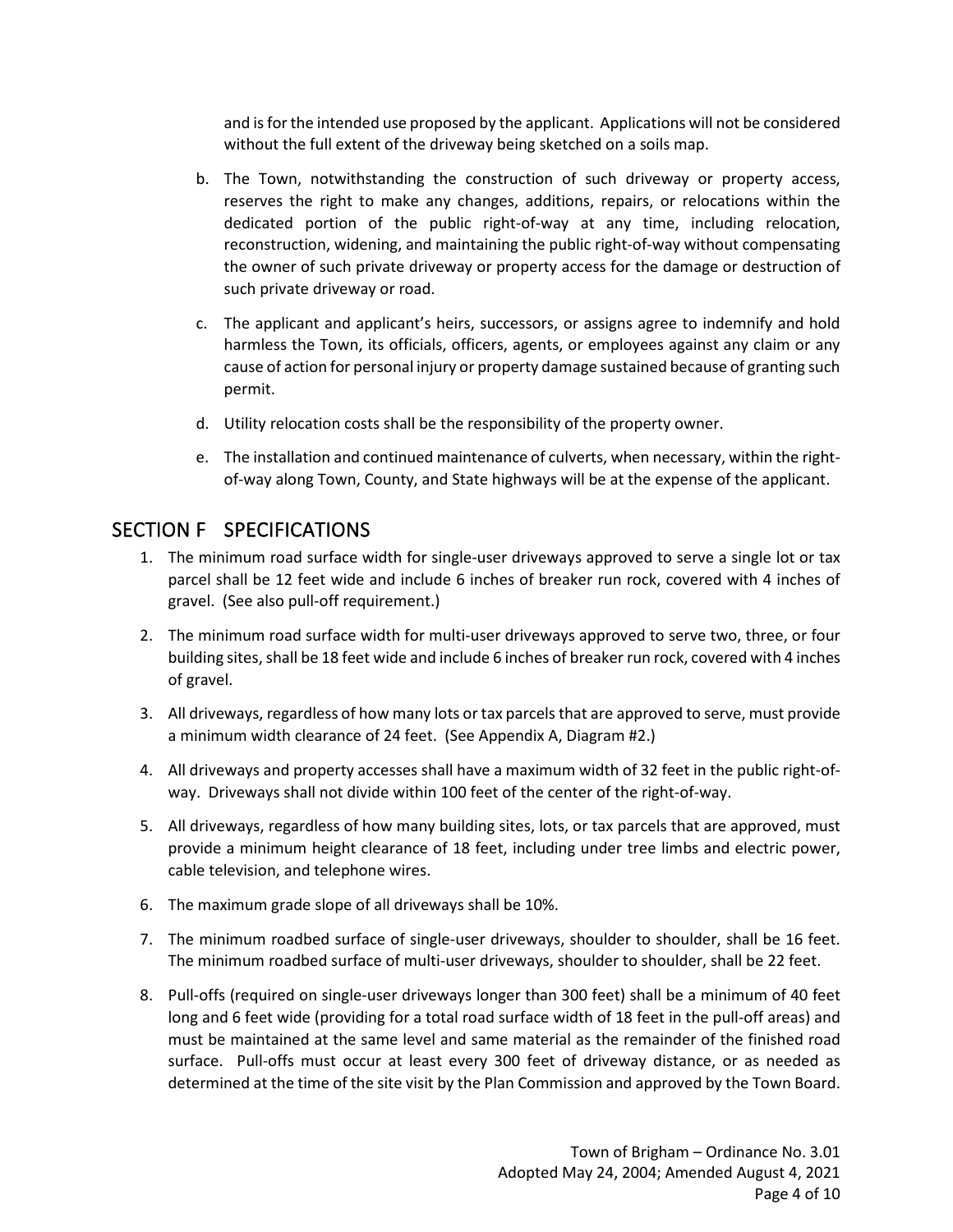and is for the intended use proposed by the applicant. Applications will not be considered without the full extent of the driveway being sketched on a soils map.

- b. The Town, notwithstanding the construction of such driveway or property access, reserves the right to make any changes, additions, repairs, or relocations within the dedicated portion of the public right-of-way at any time, including relocation, reconstruction, widening, and maintaining the public right-of-way without compensating the owner of such private driveway or property access for the damage or destruction of such private driveway or road.
- c. The applicant and applicant's heirs, successors, or assigns agree to indemnify and hold harmless the Town, its officials, officers, agents, or employees against any claim or any cause of action for personal injury or property damage sustained because of granting such permit.
- d. Utility relocation costs shall be the responsibility of the property owner.
- e. The installation and continued maintenance of culverts, when necessary, within the rightof-way along Town, County, and State highways will be at the expense of the applicant.

#### SECTION F SPECIFICATIONS

- 1. The minimum road surface width for single-user driveways approved to serve a single lot or tax parcel shall be 12 feet wide and include 6 inches of breaker run rock, covered with 4 inches of gravel. (See also pull-off requirement.)
- 2. The minimum road surface width for multi-user driveways approved to serve two, three, or four building sites, shall be 18 feet wide and include 6 inches of breaker run rock, covered with 4 inches of gravel.
- 3. All driveways, regardless of how many lots or tax parcels that are approved to serve, must provide a minimum width clearance of 24 feet. (See Appendix A, Diagram #2.)
- 4. All driveways and property accesses shall have a maximum width of 32 feet in the public right-ofway. Driveways shall not divide within 100 feet of the center of the right-of-way.
- 5. All driveways, regardless of how many building sites, lots, or tax parcels that are approved, must provide a minimum height clearance of 18 feet, including under tree limbs and electric power, cable television, and telephone wires.
- 6. The maximum grade slope of all driveways shall be 10%.
- 7. The minimum roadbed surface of single-user driveways, shoulder to shoulder, shall be 16 feet. The minimum roadbed surface of multi-user driveways, shoulder to shoulder, shall be 22 feet.
- 8. Pull-offs (required on single-user driveways longer than 300 feet) shall be a minimum of 40 feet long and 6 feet wide (providing for a total road surface width of 18 feet in the pull-off areas) and must be maintained at the same level and same material as the remainder of the finished road surface. Pull-offs must occur at least every 300 feet of driveway distance, or as needed as determined at the time of the site visit by the Plan Commission and approved by the Town Board.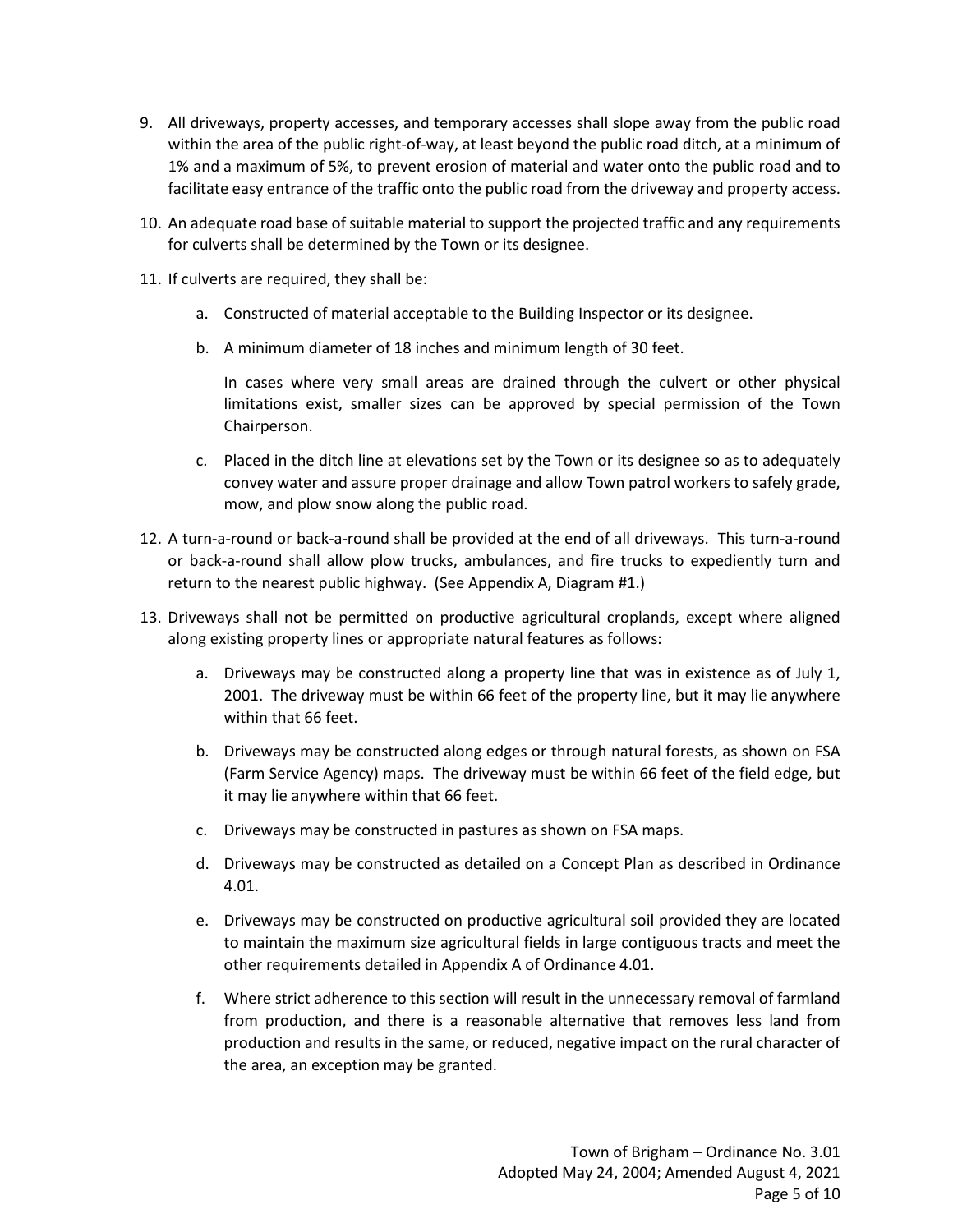- 9. All driveways, property accesses, and temporary accesses shall slope away from the public road within the area of the public right-of-way, at least beyond the public road ditch, at a minimum of 1% and a maximum of 5%, to prevent erosion of material and water onto the public road and to facilitate easy entrance of the traffic onto the public road from the driveway and property access.
- 10. An adequate road base of suitable material to support the projected traffic and any requirements for culverts shall be determined by the Town or its designee.
- 11. If culverts are required, they shall be:
	- a. Constructed of material acceptable to the Building Inspector or its designee.
	- b. A minimum diameter of 18 inches and minimum length of 30 feet.

In cases where very small areas are drained through the culvert or other physical limitations exist, smaller sizes can be approved by special permission of the Town Chairperson.

- c. Placed in the ditch line at elevations set by the Town or its designee so as to adequately convey water and assure proper drainage and allow Town patrol workers to safely grade, mow, and plow snow along the public road.
- 12. A turn-a-round or back-a-round shall be provided at the end of all driveways. This turn-a-round or back-a-round shall allow plow trucks, ambulances, and fire trucks to expediently turn and return to the nearest public highway. (See Appendix A, Diagram #1.)
- 13. Driveways shall not be permitted on productive agricultural croplands, except where aligned along existing property lines or appropriate natural features as follows:
	- a. Driveways may be constructed along a property line that was in existence as of July 1, 2001. The driveway must be within 66 feet of the property line, but it may lie anywhere within that 66 feet.
	- b. Driveways may be constructed along edges or through natural forests, as shown on FSA (Farm Service Agency) maps. The driveway must be within 66 feet of the field edge, but it may lie anywhere within that 66 feet.
	- c. Driveways may be constructed in pastures as shown on FSA maps.
	- d. Driveways may be constructed as detailed on a Concept Plan as described in Ordinance 4.01.
	- e. Driveways may be constructed on productive agricultural soil provided they are located to maintain the maximum size agricultural fields in large contiguous tracts and meet the other requirements detailed in Appendix A of Ordinance 4.01.
	- f. Where strict adherence to this section will result in the unnecessary removal of farmland from production, and there is a reasonable alternative that removes less land from production and results in the same, or reduced, negative impact on the rural character of the area, an exception may be granted.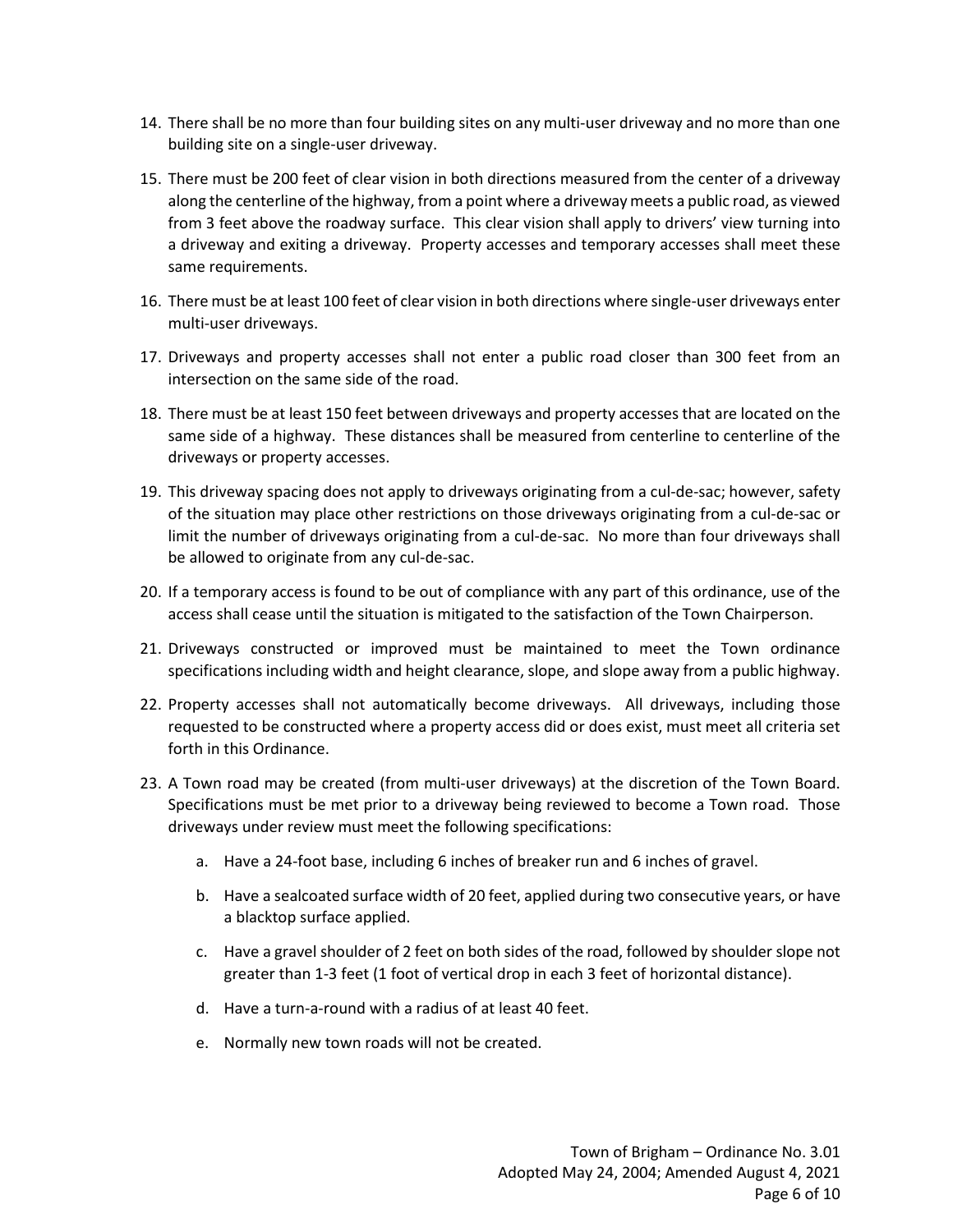- 14. There shall be no more than four building sites on any multi-user driveway and no more than one building site on a single-user driveway.
- 15. There must be 200 feet of clear vision in both directions measured from the center of a driveway along the centerline of the highway, from a point where a driveway meets a public road, as viewed from 3 feet above the roadway surface. This clear vision shall apply to drivers' view turning into a driveway and exiting a driveway. Property accesses and temporary accesses shall meet these same requirements.
- 16. There must be at least 100 feet of clear vision in both directions where single-user driveways enter multi-user driveways.
- 17. Driveways and property accesses shall not enter a public road closer than 300 feet from an intersection on the same side of the road.
- 18. There must be at least 150 feet between driveways and property accesses that are located on the same side of a highway. These distances shall be measured from centerline to centerline of the driveways or property accesses.
- 19. This driveway spacing does not apply to driveways originating from a cul-de-sac; however, safety of the situation may place other restrictions on those driveways originating from a cul-de-sac or limit the number of driveways originating from a cul-de-sac. No more than four driveways shall be allowed to originate from any cul-de-sac.
- 20. If a temporary access is found to be out of compliance with any part of this ordinance, use of the access shall cease until the situation is mitigated to the satisfaction of the Town Chairperson.
- 21. Driveways constructed or improved must be maintained to meet the Town ordinance specifications including width and height clearance, slope, and slope away from a public highway.
- 22. Property accesses shall not automatically become driveways. All driveways, including those requested to be constructed where a property access did or does exist, must meet all criteria set forth in this Ordinance.
- 23. A Town road may be created (from multi-user driveways) at the discretion of the Town Board. Specifications must be met prior to a driveway being reviewed to become a Town road. Those driveways under review must meet the following specifications:
	- a. Have a 24-foot base, including 6 inches of breaker run and 6 inches of gravel.
	- b. Have a sealcoated surface width of 20 feet, applied during two consecutive years, or have a blacktop surface applied.
	- c. Have a gravel shoulder of 2 feet on both sides of the road, followed by shoulder slope not greater than 1-3 feet (1 foot of vertical drop in each 3 feet of horizontal distance).
	- d. Have a turn-a-round with a radius of at least 40 feet.
	- e. Normally new town roads will not be created.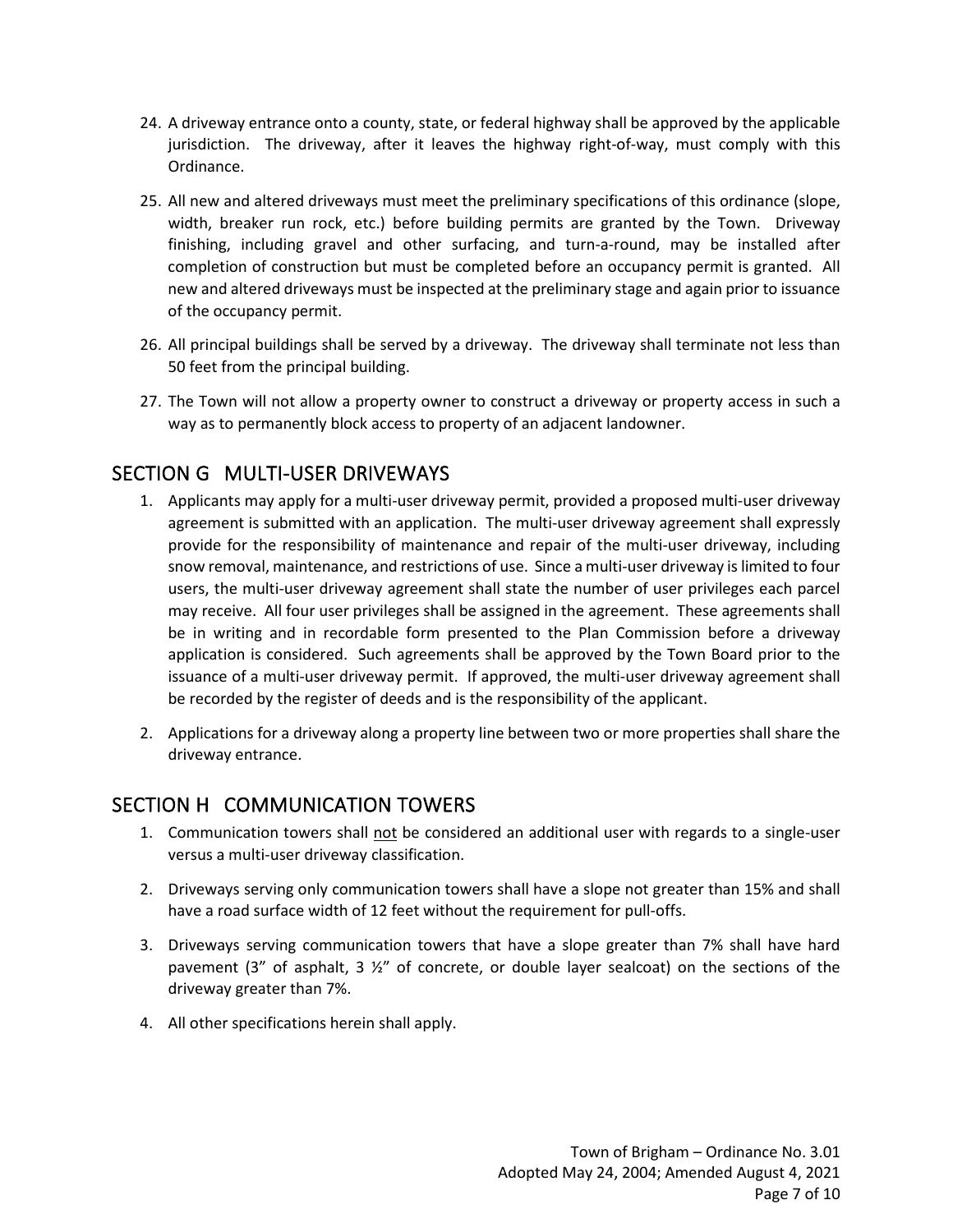- 24. A driveway entrance onto a county, state, or federal highway shall be approved by the applicable jurisdiction. The driveway, after it leaves the highway right-of-way, must comply with this Ordinance.
- 25. All new and altered driveways must meet the preliminary specifications of this ordinance (slope, width, breaker run rock, etc.) before building permits are granted by the Town. Driveway finishing, including gravel and other surfacing, and turn-a-round, may be installed after completion of construction but must be completed before an occupancy permit is granted. All new and altered driveways must be inspected at the preliminary stage and again prior to issuance of the occupancy permit.
- 26. All principal buildings shall be served by a driveway. The driveway shall terminate not less than 50 feet from the principal building.
- 27. The Town will not allow a property owner to construct a driveway or property access in such a way as to permanently block access to property of an adjacent landowner.

# SECTION G MULTI-USER DRIVEWAYS

- 1. Applicants may apply for a multi-user driveway permit, provided a proposed multi-user driveway agreement is submitted with an application. The multi-user driveway agreement shall expressly provide for the responsibility of maintenance and repair of the multi-user driveway, including snow removal, maintenance, and restrictions of use. Since a multi-user driveway is limited to four users, the multi-user driveway agreement shall state the number of user privileges each parcel may receive. All four user privileges shall be assigned in the agreement. These agreements shall be in writing and in recordable form presented to the Plan Commission before a driveway application is considered. Such agreements shall be approved by the Town Board prior to the issuance of a multi-user driveway permit. If approved, the multi-user driveway agreement shall be recorded by the register of deeds and is the responsibility of the applicant.
- 2. Applications for a driveway along a property line between two or more properties shall share the driveway entrance.

#### SECTION H COMMUNICATION TOWERS

- 1. Communication towers shall not be considered an additional user with regards to a single-user versus a multi-user driveway classification.
- 2. Driveways serving only communication towers shall have a slope not greater than 15% and shall have a road surface width of 12 feet without the requirement for pull-offs.
- 3. Driveways serving communication towers that have a slope greater than 7% shall have hard pavement (3" of asphalt, 3  $\frac{1}{2}$ " of concrete, or double layer sealcoat) on the sections of the driveway greater than 7%.
- 4. All other specifications herein shall apply.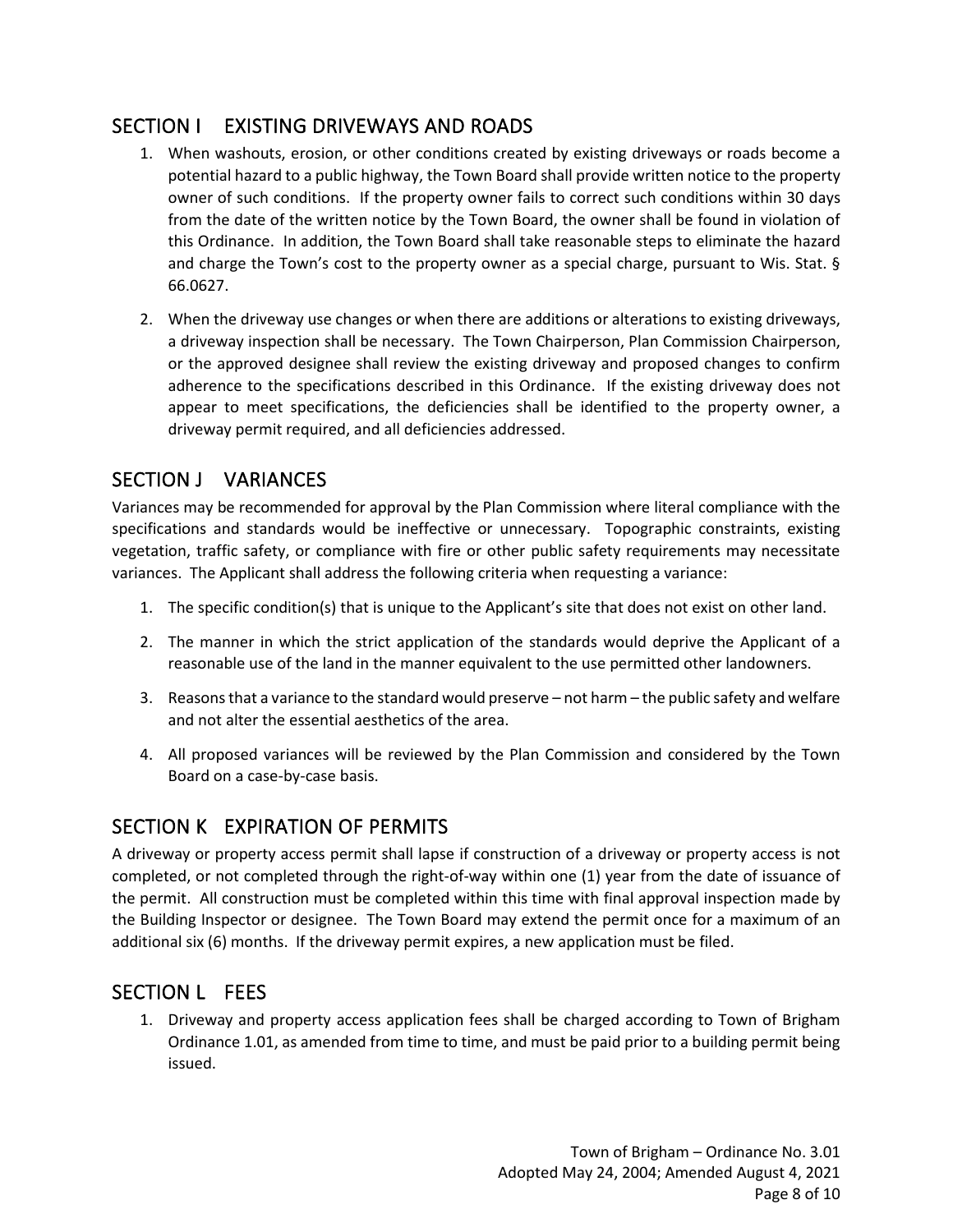# SECTION I EXISTING DRIVEWAYS AND ROADS

- 1. When washouts, erosion, or other conditions created by existing driveways or roads become a potential hazard to a public highway, the Town Board shall provide written notice to the property owner of such conditions. If the property owner fails to correct such conditions within 30 days from the date of the written notice by the Town Board, the owner shall be found in violation of this Ordinance. In addition, the Town Board shall take reasonable steps to eliminate the hazard and charge the Town's cost to the property owner as a special charge, pursuant to Wis. Stat. § 66.0627.
- 2. When the driveway use changes or when there are additions or alterations to existing driveways, a driveway inspection shall be necessary. The Town Chairperson, Plan Commission Chairperson, or the approved designee shall review the existing driveway and proposed changes to confirm adherence to the specifications described in this Ordinance. If the existing driveway does not appear to meet specifications, the deficiencies shall be identified to the property owner, a driveway permit required, and all deficiencies addressed.

# SECTION J VARIANCES

Variances may be recommended for approval by the Plan Commission where literal compliance with the specifications and standards would be ineffective or unnecessary. Topographic constraints, existing vegetation, traffic safety, or compliance with fire or other public safety requirements may necessitate variances. The Applicant shall address the following criteria when requesting a variance:

- 1. The specific condition(s) that is unique to the Applicant's site that does not exist on other land.
- 2. The manner in which the strict application of the standards would deprive the Applicant of a reasonable use of the land in the manner equivalent to the use permitted other landowners.
- 3. Reasons that a variance to the standard would preserve not harm the public safety and welfare and not alter the essential aesthetics of the area.
- 4. All proposed variances will be reviewed by the Plan Commission and considered by the Town Board on a case-by-case basis.

# SECTION K EXPIRATION OF PERMITS

A driveway or property access permit shall lapse if construction of a driveway or property access is not completed, or not completed through the right-of-way within one (1) year from the date of issuance of the permit. All construction must be completed within this time with final approval inspection made by the Building Inspector or designee. The Town Board may extend the permit once for a maximum of an additional six (6) months. If the driveway permit expires, a new application must be filed.

#### SECTION L FEES

1. Driveway and property access application fees shall be charged according to Town of Brigham Ordinance 1.01, as amended from time to time, and must be paid prior to a building permit being issued.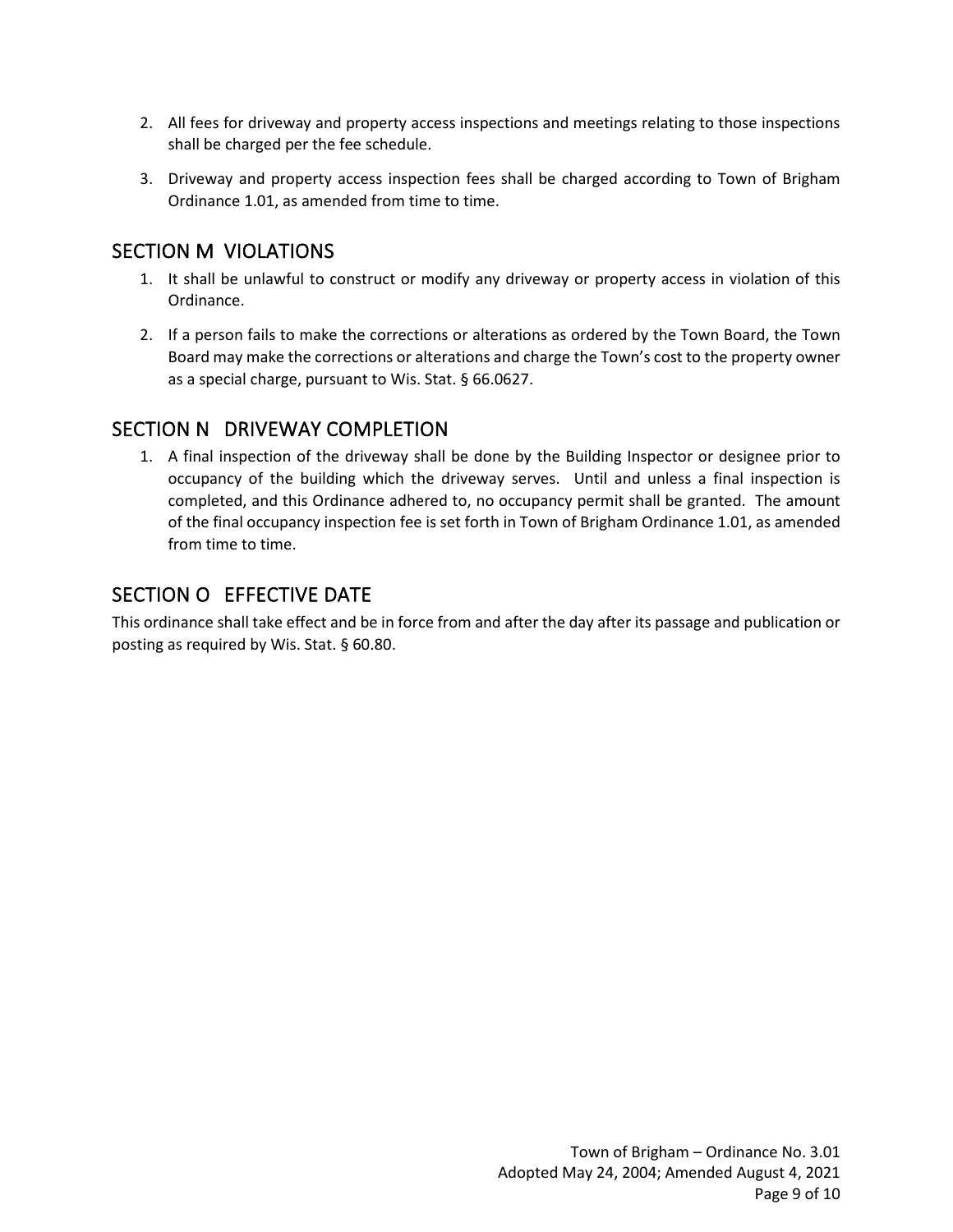- 2. All fees for driveway and property access inspections and meetings relating to those inspections shall be charged per the fee schedule.
- 3. Driveway and property access inspection fees shall be charged according to Town of Brigham Ordinance 1.01, as amended from time to time.

# SECTION M VIOLATIONS

- 1. It shall be unlawful to construct or modify any driveway or property access in violation of this Ordinance.
- 2. If a person fails to make the corrections or alterations as ordered by the Town Board, the Town Board may make the corrections or alterations and charge the Town's cost to the property owner as a special charge, pursuant to Wis. Stat. § 66.0627.

## SECTION N DRIVEWAY COMPLETION

1. A final inspection of the driveway shall be done by the Building Inspector or designee prior to occupancy of the building which the driveway serves. Until and unless a final inspection is completed, and this Ordinance adhered to, no occupancy permit shall be granted. The amount of the final occupancy inspection fee is set forth in Town of Brigham Ordinance 1.01, as amended from time to time.

#### SECTION O EFFECTIVE DATE

This ordinance shall take effect and be in force from and after the day after its passage and publication or posting as required by Wis. Stat. § 60.80.